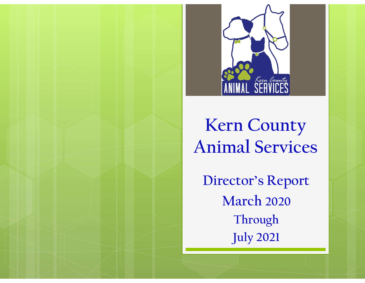

### Kern County Animal Services

Director's Report March 2020 Through July 2021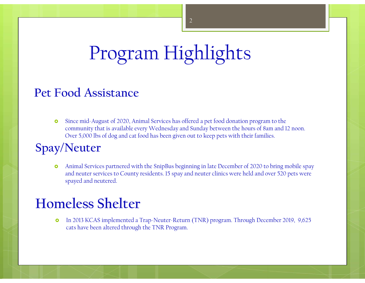## Program Highlights

#### Pet Food Assistance

 Since mid-August of 2020, Animal Services has offered a pet food donation program to the community that is available every Wednesday and Sunday between the hours of 8am and 12 noon. Program Highlights<br>
Dover 5,000 lbs of dog and cat food has been given out to keep pets with their families.<br>
Neuter than also seem given out to keep pets with their families.<br>
Neuter Animal Services partnered with the Sni

#### Spay/Neuter

**FOOSFAM FILISMILISMES**<br> **Food Assistance**<br> **o** Since mid-August of 2020, Animal Services has offered a per food donation program to the community that is available every Wednesday and Sunday between the hours of 8am and 1 and neuter services to County residents. 15 spay and neuter clinics were held and over 520 pets were spayed and neutered.

#### Homeless Shelter

 In 2013 KCAS implemented a Trap-Neuter-Return (TNR) program. Through December 2019, 9,625 cats have been altered through the TNR Program.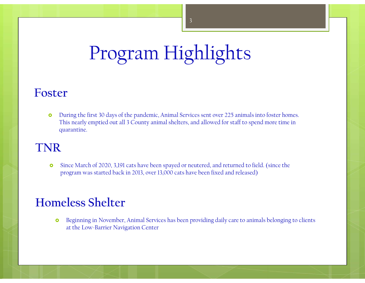# Program Highlights

#### Foster

**o** During the first 30 days of the pandemic, Animal Services sent over 225 animals into foster homes. This nearly emptied out all 3 County animal shelters, and allowed for staff to spend more time in quarantine.

#### TNR

 Since March of 2020, 3,191 cats have been spayed or neutered, and returned to field. (since the program was started back in 2013, over 13,000 cats have been fixed and released)

#### Homeless Shelter

**o** Beginning in November, Animal Services has been providing daily care to animals belonging to clients at the Low-Barrier Navigation Center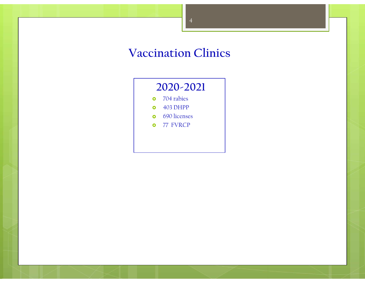#### Vaccination Clinics

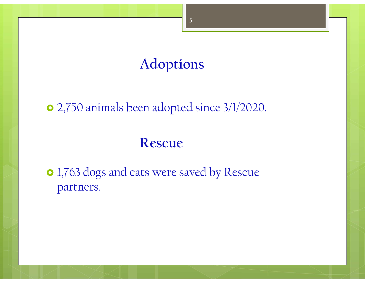### Adoptions

#### 2,750 animals been adopted since 3/1/2020.

#### Rescue

• 1,763 dogs and cats were saved by Rescue partners.